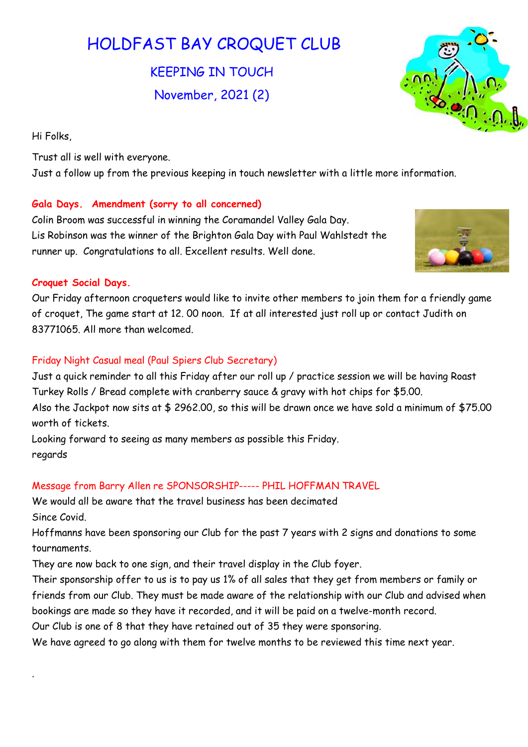# HOLDFAST BAY CROQUET CLUB

KEEPING IN TOUCH November, 2021 (2)

Hi Folks,

Trust all is well with everyone. Just a follow up from the previous keeping in touch newsletter with a little more information.

# Gala Days. Amendment (sorry to all concerned)

Colin Broom was successful in winning the Coramandel Valley Gala Day. Lis Robinson was the winner of the Brighton Gala Day with Paul Wahlstedt the runner up. Congratulations to all. Excellent results. Well done.

### Croquet Social Days.

.

Our Friday afternoon croqueters would like to invite other members to join them for a friendly game of croquet, The game start at 12. 00 noon. If at all interested just roll up or contact Judith on 83771065. All more than welcomed.

# Friday Night Casual meal (Paul Spiers Club Secretary)

Just a quick reminder to all this Friday after our roll up / practice session we will be having Roast Turkey Rolls / Bread complete with cranberry sauce & gravy with hot chips for \$5.00. Also the Jackpot now sits at \$ 2962.00, so this will be drawn once we have sold a minimum of \$75.00 worth of tickets.

Looking forward to seeing as many members as possible this Friday. regards

# Message from Barry Allen re SPONSORSHIP----- PHIL HOFFMAN TRAVEL

We would all be aware that the travel business has been decimated Since Covid.

Hoffmanns have been sponsoring our Club for the past 7 years with 2 signs and donations to some tournaments.

They are now back to one sign, and their travel display in the Club foyer.

Their sponsorship offer to us is to pay us 1% of all sales that they get from members or family or friends from our Club. They must be made aware of the relationship with our Club and advised when bookings are made so they have it recorded, and it will be paid on a twelve-month record.

Our Club is one of 8 that they have retained out of 35 they were sponsoring.

We have agreed to go along with them for twelve months to be reviewed this time next year.